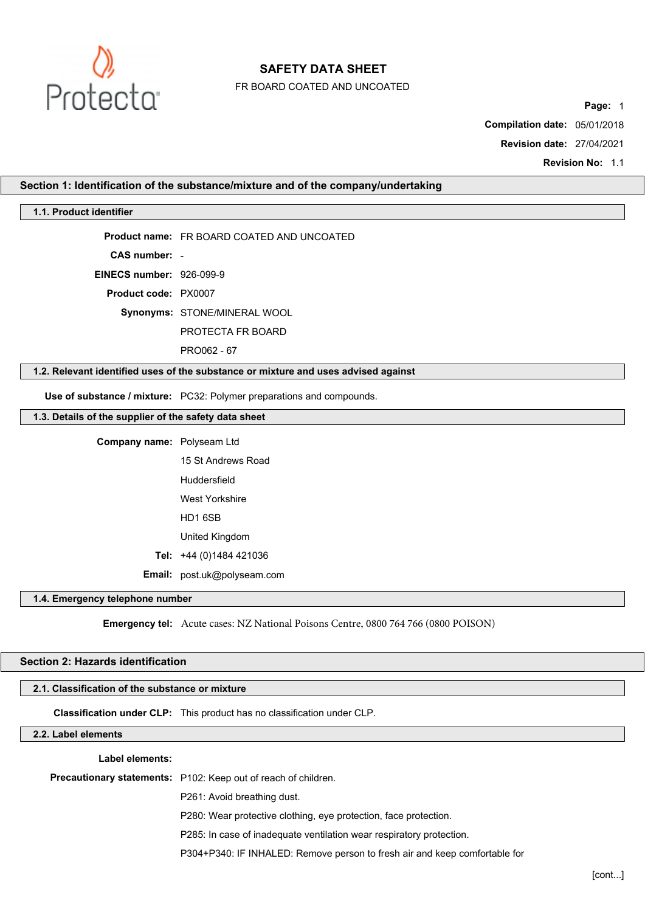

FR BOARD COATED AND UNCOATED

**Page:** 1

**Compilation date:** 05/01/2018

**Revision date:** 27/04/2021

**Revision No:** 1.1

### **Section 1: Identification of the substance/mixture and of the company/undertaking**

## **1.1. Product identifier**

**Product name:** FR BOARD COATED AND UNCOATED

**CAS number:** -

**EINECS number:** 926-099-9

**Product code:** PX0007

**Synonyms:** STONE/MINERAL WOOL

PROTECTA FR BOARD

PRO062 - 67

### **1.2. Relevant identified uses of the substance or mixture and uses advised against**

**Use of substance / mixture:** PC32: Polymer preparations and compounds.

# **1.3. Details of the supplier of the safety data sheet**

**Company name:** Polyseam Ltd 15 St Andrews Road Huddersfield West Yorkshire HD1 6SB United Kingdom **Tel:** +44 (0)1484 421036 **Email:** post.uk@polyseam.com

## **1.4. Emergency telephone number**

**Emergency tel:** Acute cases: NZ National Poisons Centre, 0800 764 766 (0800 POISON)

# **Section 2: Hazards identification**

## **2.1. Classification of the substance or mixture**

**Classification under CLP:** This product has no classification under CLP.

# **2.2. Label elements**

## **Label elements:**

**Precautionary statements:** P102: Keep out of reach of children.

P261: Avoid breathing dust.

P280: Wear protective clothing, eye protection, face protection.

P285: In case of inadequate ventilation wear respiratory protection.

P304+P340: IF INHALED: Remove person to fresh air and keep comfortable for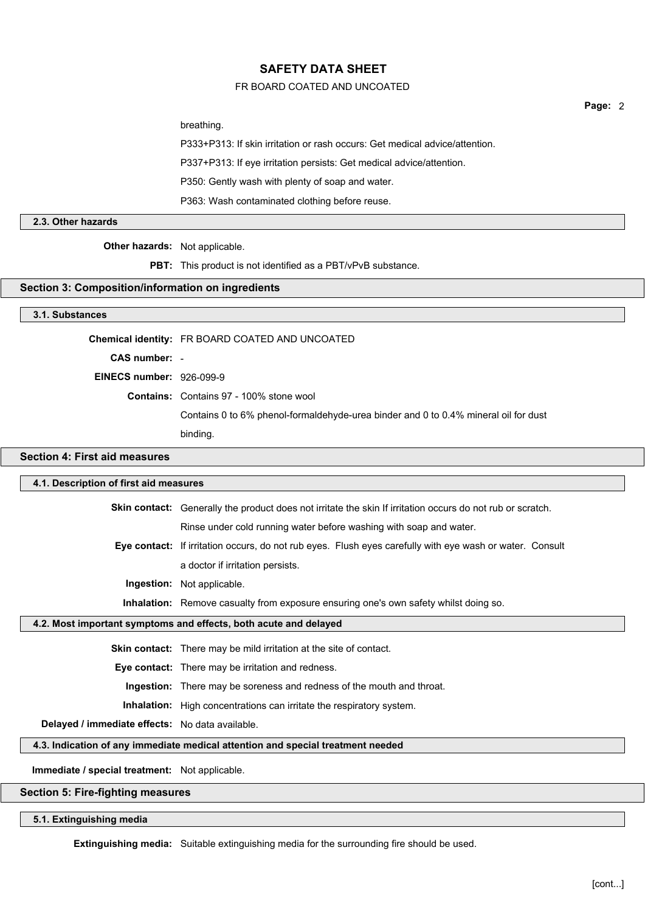## FR BOARD COATED AND UNCOATED

breathing.

P333+P313: If skin irritation or rash occurs: Get medical advice/attention.

P337+P313: If eye irritation persists: Get medical advice/attention.

P350: Gently wash with plenty of soap and water.

P363: Wash contaminated clothing before reuse.

## **2.3. Other hazards**

**Other hazards:** Not applicable.

**PBT:** This product is not identified as a PBT/vPvB substance.

#### **Section 3: Composition/information on ingredients**

## **3.1. Substances**

**Chemical identity:** FR BOARD COATED AND UNCOATED

**CAS number:** -

**EINECS number:** 926-099-9

**Contains:** Contains 97 - 100% stone wool

Contains 0 to 6% phenol-formaldehyde-urea binder and 0 to 0.4% mineral oil for dust

binding.

# **Section 4: First aid measures**

### **4.1. Description of first aid measures**

**Skin contact:** Generally the product does not irritate the skin If irritation occurs do not rub or scratch. Rinse under cold running water before washing with soap and water.

**Eye contact:** If irritation occurs, do not rub eyes. Flush eyes carefully with eye wash or water. Consult a doctor if irritation persists.

**Ingestion:** Not applicable.

**Inhalation:** Remove casualty from exposure ensuring one's own safety whilst doing so.

## **4.2. Most important symptoms and effects, both acute and delayed**

**Skin contact:** There may be mild irritation at the site of contact.

**Eye contact:** There may be irritation and redness.

**Ingestion:** There may be soreness and redness of the mouth and throat.

**Inhalation:** High concentrations can irritate the respiratory system.

**Delayed / immediate effects:** No data available.

# **4.3. Indication of any immediate medical attention and special treatment needed**

**Immediate / special treatment:** Not applicable.

**Section 5: Fire-fighting measures**

## **5.1. Extinguishing media**

**Extinguishing media:** Suitable extinguishing media for the surrounding fire should be used.

**Page:** 2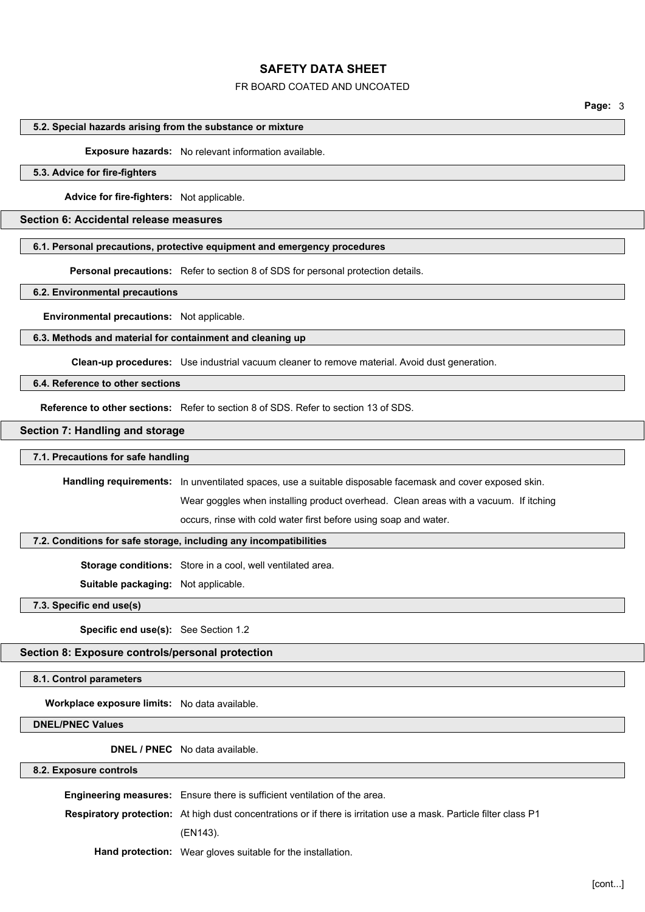### FR BOARD COATED AND UNCOATED

**Page:** 3

#### **5.2. Special hazards arising from the substance or mixture**

**Exposure hazards:** No relevant information available.

### **5.3. Advice for fire-fighters**

**Advice for fire-fighters:** Not applicable.

## **Section 6: Accidental release measures**

## **6.1. Personal precautions, protective equipment and emergency procedures**

**Personal precautions:** Refer to section 8 of SDS for personal protection details.

## **6.2. Environmental precautions**

**Environmental precautions:** Not applicable.

## **6.3. Methods and material for containment and cleaning up**

**Clean-up procedures:** Use industrial vacuum cleaner to remove material. Avoid dust generation.

### **6.4. Reference to other sections**

**Reference to other sections:** Refer to section 8 of SDS. Refer to section 13 of SDS.

#### **Section 7: Handling and storage**

### **7.1. Precautions for safe handling**

**Handling requirements:** In unventilated spaces, use a suitable disposable facemask and cover exposed skin.

Wear goggles when installing product overhead. Clean areas with a vacuum. If itching

occurs, rinse with cold water first before using soap and water.

### **7.2. Conditions for safe storage, including any incompatibilities**

**Storage conditions:** Store in a cool, well ventilated area.

**Suitable packaging:** Not applicable.

**7.3. Specific end use(s)**

**Specific end use(s):** See Section 1.2

## **Section 8: Exposure controls/personal protection**

**8.1. Control parameters**

**Workplace exposure limits:** No data available.

**DNEL/PNEC Values**

**DNEL / PNEC** No data available.

### **8.2. Exposure controls**

**Engineering measures:** Ensure there is sufficient ventilation of the area. **Respiratory protection:** At high dust concentrations or if there is irritation use a mask. Particle filter class P1 (EN143). **Hand protection:** Wear gloves suitable for the installation.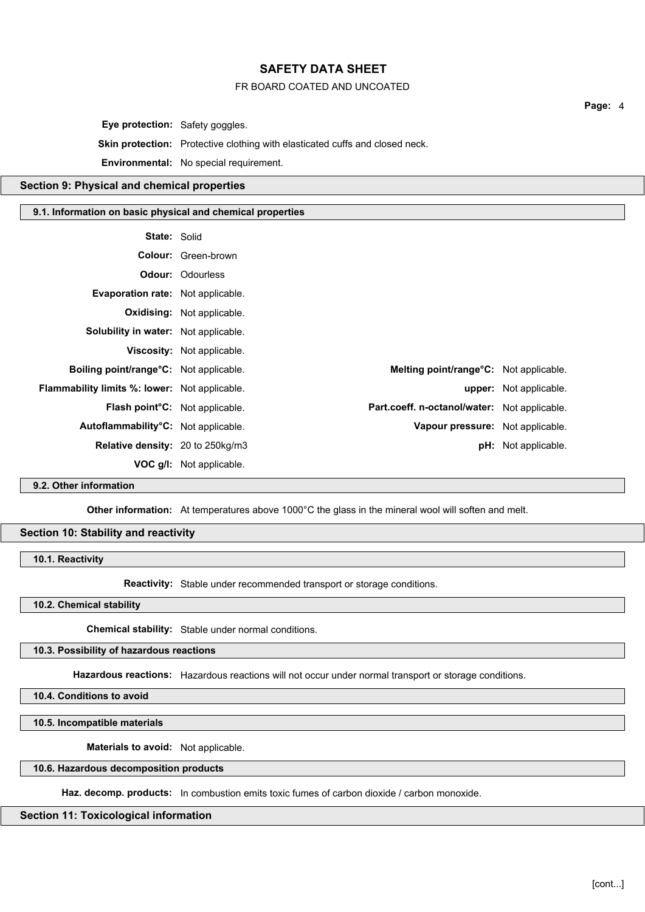## FR BOARD COATED AND UNCOATED

**Eye protection:** Safety goggles.

**Skin protection:** Protective clothing with elasticated cuffs and closed neck.

**Environmental:** No special requirement.

## **Section 9: Physical and chemical properties**

### **9.1. Information on basic physical and chemical properties**

| <b>State: Solid</b>                                  |                                   |                                              |                               |
|------------------------------------------------------|-----------------------------------|----------------------------------------------|-------------------------------|
|                                                      | <b>Colour:</b> Green-brown        |                                              |                               |
|                                                      | <b>Odour: Odourless</b>           |                                              |                               |
| Evaporation rate: Not applicable.                    |                                   |                                              |                               |
|                                                      | <b>Oxidising:</b> Not applicable. |                                              |                               |
| Solubility in water: Not applicable.                 |                                   |                                              |                               |
|                                                      | <b>Viscosity:</b> Not applicable. |                                              |                               |
| <b>Boiling point/range °C:</b> Not applicable.       |                                   | Melting point/range°C: Not applicable.       |                               |
| <b>Flammability limits %: lower:</b> Not applicable. |                                   |                                              | <b>upper:</b> Not applicable. |
| <b>Flash point C:</b> Not applicable.                |                                   | Part.coeff. n-octanol/water: Not applicable. |                               |
| Autoflammability°C: Not applicable.                  |                                   | Vapour pressure: Not applicable.             |                               |
| <b>Relative density: 20 to 250kg/m3</b>              |                                   |                                              | <b>pH:</b> Not applicable.    |
|                                                      | <b>VOC g/l:</b> Not applicable.   |                                              |                               |

# **9.2. Other information**

**Other information:** At temperatures above 1000°C the glass in the mineral wool will soften and melt.

## **Section 10: Stability and reactivity**

### **10.1. Reactivity**

**Reactivity:** Stable under recommended transport or storage conditions.

**10.2. Chemical stability**

**Chemical stability:** Stable under normal conditions.

### **10.3. Possibility of hazardous reactions**

**Hazardous reactions:** Hazardous reactions will not occur under normal transport or storage conditions.

**10.4. Conditions to avoid**

**10.5. Incompatible materials**

**Materials to avoid:** Not applicable.

#### **10.6. Hazardous decomposition products**

**Haz. decomp. products:** In combustion emits toxic fumes of carbon dioxide / carbon monoxide.

## **Section 11: Toxicological information**

**Page:** 4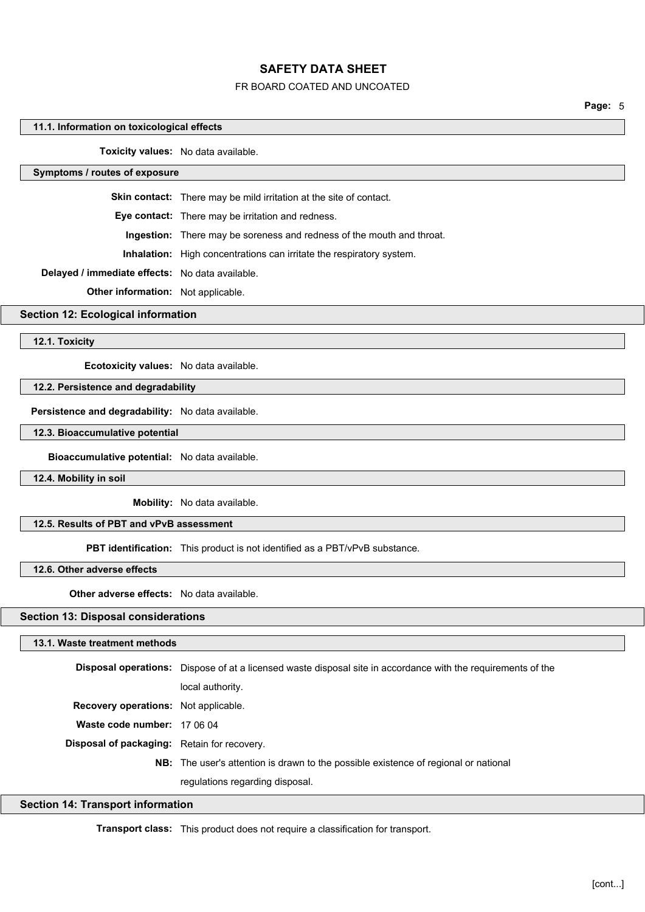### FR BOARD COATED AND UNCOATED

**Page:** 5

#### **11.1. Information on toxicological effects**

**Toxicity values:** No data available.

## **Symptoms / routes of exposure**

**Skin contact:** There may be mild irritation at the site of contact.

**Eye contact:** There may be irritation and redness.

**Ingestion:** There may be soreness and redness of the mouth and throat.

**Inhalation:** High concentrations can irritate the respiratory system.

**Delayed / immediate effects:** No data available.

**Other information:** Not applicable.

### **Section 12: Ecological information**

**12.1. Toxicity**

**Ecotoxicity values:** No data available.

## **12.2. Persistence and degradability**

**Persistence and degradability:** No data available.

**12.3. Bioaccumulative potential**

**Bioaccumulative potential:** No data available.

**12.4. Mobility in soil**

**Mobility:** No data available.

### **12.5. Results of PBT and vPvB assessment**

**PBT identification:** This product is not identified as a PBT/vPvB substance.

### **12.6. Other adverse effects**

**Other adverse effects:** No data available.

## **Section 13: Disposal considerations**

#### **13.1. Waste treatment methods**

**Disposal operations:** Dispose of at a licensed waste disposal site in accordance with the requirements of the local authority. **Recovery operations:** Not applicable. **Waste code number:** 17 06 04 **Disposal of packaging:** Retain for recovery. **NB:** The user's attention is drawn to the possible existence of regional or national regulations regarding disposal.

## **Section 14: Transport information**

**Transport class:** This product does not require a classification for transport.